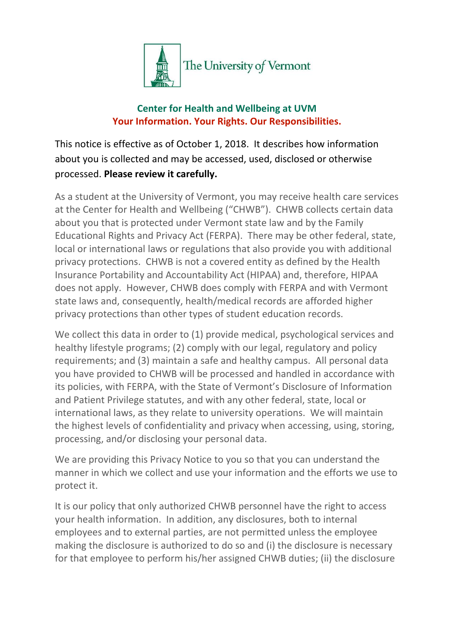

## **Center for Health and Wellbeing at UVM Your Information. Your Rights. Our Responsibilities.**

This notice is effective as of October 1, 2018. It describes how information about you is collected and may be accessed, used, disclosed or otherwise processed. **Please review it carefully.**

As a student at the University of Vermont, you may receive health care services at the Center for Health and Wellbeing ("CHWB"). CHWB collects certain data about you that is protected under Vermont state law and by the Family Educational Rights and Privacy Act (FERPA). There may be other federal, state, local or international laws or regulations that also provide you with additional privacy protections. CHWB is not a covered entity as defined by the Health Insurance Portability and Accountability Act (HIPAA) and, therefore, HIPAA does not apply. However, CHWB does comply with FERPA and with Vermont state laws and, consequently, health/medical records are afforded higher privacy protections than other types of student education records.

We collect this data in order to (1) provide medical, psychological services and healthy lifestyle programs; (2) comply with our legal, regulatory and policy requirements; and (3) maintain a safe and healthy campus. All personal data you have provided to CHWB will be processed and handled in accordance with its policies, with FERPA, with the State of Vermont's Disclosure of Information and Patient Privilege statutes, and with any other federal, state, local or international laws, as they relate to university operations. We will maintain the highest levels of confidentiality and privacy when accessing, using, storing, processing, and/or disclosing your personal data.

We are providing this Privacy Notice to you so that you can understand the manner in which we collect and use your information and the efforts we use to protect it.

It is our policy that only authorized CHWB personnel have the right to access your health information. In addition, any disclosures, both to internal employees and to external parties, are not permitted unless the employee making the disclosure is authorized to do so and (i) the disclosure is necessary for that employee to perform his/her assigned CHWB duties; (ii) the disclosure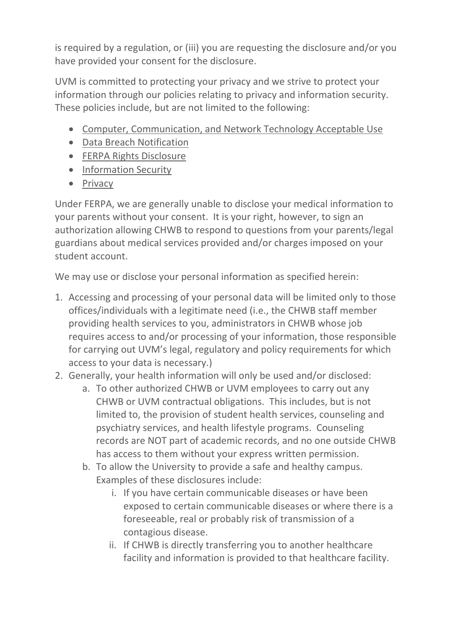is required by a regulation, or (iii) you are requesting the disclosure and/or you have provided your consent for the disclosure.

UVM is committed to protecting your privacy and we strive to protect your information through our policies relating to privacy and information security. These policies include, but are not limited to the following:

- [Computer, Communication, and Network Technology Acceptable Use](https://www.uvm.edu/policies/cit/compuse.pdf)
- [Data Breach Notification](https://www.uvm.edu/policies/general_html/databreach.pdf)
- **•** [FERPA Rights Disclosure](https://www.uvm.edu/policies/student/ferpa.pdf)
- [Information Security](https://www.uvm.edu/policies/cit/infosecurity.pdf)
- [Privacy](https://www.uvm.edu/policies/general_html/privacy.pdf)

Under FERPA, we are generally unable to disclose your medical information to your parents without your consent. It is your right, however, to sign an authorization allowing CHWB to respond to questions from your parents/legal guardians about medical services provided and/or charges imposed on your student account.

We may use or disclose your personal information as specified herein:

- 1. Accessing and processing of your personal data will be limited only to those offices/individuals with a legitimate need (i.e., the CHWB staff member providing health services to you, administrators in CHWB whose job requires access to and/or processing of your information, those responsible for carrying out UVM's legal, regulatory and policy requirements for which access to your data is necessary.)
- 2. Generally, your health information will only be used and/or disclosed:
	- a. To other authorized CHWB or UVM employees to carry out any CHWB or UVM contractual obligations. This includes, but is not limited to, the provision of student health services, counseling and psychiatry services, and health lifestyle programs. Counseling records are NOT part of academic records, and no one outside CHWB has access to them without your express written permission.
	- b. To allow the University to provide a safe and healthy campus. Examples of these disclosures include:
		- i. If you have certain communicable diseases or have been exposed to certain communicable diseases or where there is a foreseeable, real or probably risk of transmission of a contagious disease.
		- ii. If CHWB is directly transferring you to another healthcare facility and information is provided to that healthcare facility.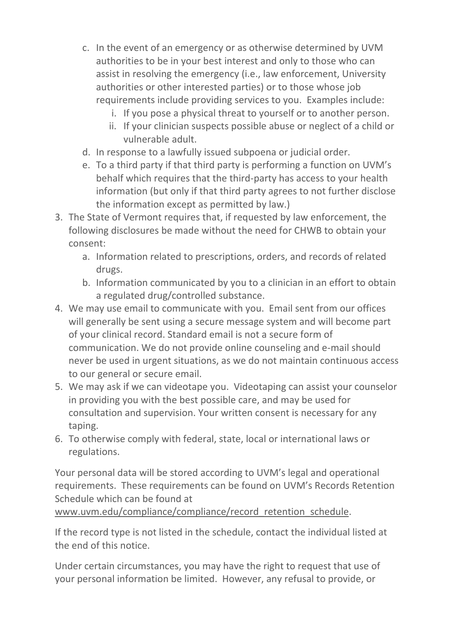- c. In the event of an emergency or as otherwise determined by UVM authorities to be in your best interest and only to those who can assist in resolving the emergency (i.e., law enforcement, University authorities or other interested parties) or to those whose job requirements include providing services to you. Examples include:
	- i. If you pose a physical threat to yourself or to another person.
	- ii. If your clinician suspects possible abuse or neglect of a child or vulnerable adult.
- d. In response to a lawfully issued subpoena or judicial order.
- e. To a third party if that third party is performing a function on UVM's behalf which requires that the third-party has access to your health information (but only if that third party agrees to not further disclose the information except as permitted by law.)
- 3. The State of Vermont requires that, if requested by law enforcement, the following disclosures be made without the need for CHWB to obtain your consent:
	- a. Information related to prescriptions, orders, and records of related drugs.
	- b. Information communicated by you to a clinician in an effort to obtain a regulated drug/controlled substance.
- 4. We may use email to communicate with you. Email sent from our offices will generally be sent using a secure message system and will become part of your clinical record. Standard email is not a secure form of communication. We do not provide online counseling and e-mail should never be used in urgent situations, as we do not maintain continuous access to our general or secure email.
- 5. We may ask if we can videotape you. Videotaping can assist your counselor in providing you with the best possible care, and may be used for consultation and supervision. Your written consent is necessary for any taping.
- 6. To otherwise comply with federal, state, local or international laws or regulations.

Your personal data will be stored according to UVM's legal and operational requirements. These requirements can be found on UVM's Records Retention Schedule which can be found at

www.uvm.edu/compliance/compliance/record retention schedule.

If the record type is not listed in the schedule, contact the individual listed at the end of this notice.

Under certain circumstances, you may have the right to request that use of your personal information be limited. However, any refusal to provide, or